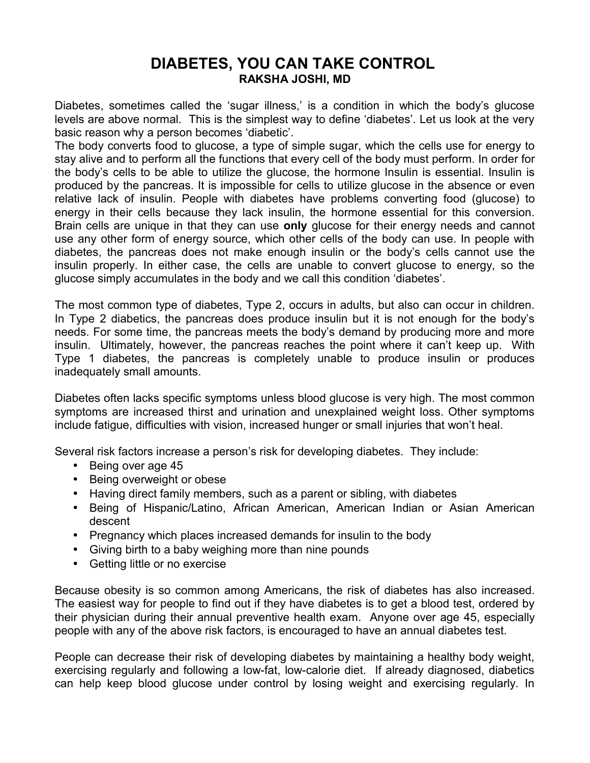## **DIABETES, YOU CAN TAKE CONTROL RAKSHA JOSHI, MD**

Diabetes, sometimes called the 'sugar illness,' is a condition in which the body's glucose levels are above normal. This is the simplest way to define 'diabetes'. Let us look at the very basic reason why a person becomes 'diabetic'.

The body converts food to glucose, a type of simple sugar, which the cells use for energy to stay alive and to perform all the functions that every cell of the body must perform. In order for the body's cells to be able to utilize the glucose, the hormone Insulin is essential. Insulin is produced by the pancreas. It is impossible for cells to utilize glucose in the absence or even relative lack of insulin. People with diabetes have problems converting food (glucose) to energy in their cells because they lack insulin, the hormone essential for this conversion. Brain cells are unique in that they can use **only** glucose for their energy needs and cannot use any other form of energy source, which other cells of the body can use. In people with diabetes, the pancreas does not make enough insulin or the body's cells cannot use the insulin properly. In either case, the cells are unable to convert glucose to energy, so the glucose simply accumulates in the body and we call this condition 'diabetes'.

The most common type of diabetes, Type 2, occurs in adults, but also can occur in children. In Type 2 diabetics, the pancreas does produce insulin but it is not enough for the body's needs. For some time, the pancreas meets the body's demand by producing more and more insulin. Ultimately, however, the pancreas reaches the point where it can't keep up. With Type 1 diabetes, the pancreas is completely unable to produce insulin or produces inadequately small amounts.

Diabetes often lacks specific symptoms unless blood glucose is very high. The most common symptoms are increased thirst and urination and unexplained weight loss. Other symptoms include fatigue, difficulties with vision, increased hunger or small injuries that won't heal.

Several risk factors increase a person's risk for developing diabetes. They include:

- Being over age 45
- Being overweight or obese
- Having direct family members, such as a parent or sibling, with diabetes
- Being of Hispanic/Latino, African American, American Indian or Asian American descent
- Pregnancy which places increased demands for insulin to the body
- Giving birth to a baby weighing more than nine pounds
- Getting little or no exercise

Because obesity is so common among Americans, the risk of diabetes has also increased. The easiest way for people to find out if they have diabetes is to get a blood test, ordered by their physician during their annual preventive health exam. Anyone over age 45, especially people with any of the above risk factors, is encouraged to have an annual diabetes test.

People can decrease their risk of developing diabetes by maintaining a healthy body weight, exercising regularly and following a low-fat, low-calorie diet. If already diagnosed, diabetics can help keep blood glucose under control by losing weight and exercising regularly. In